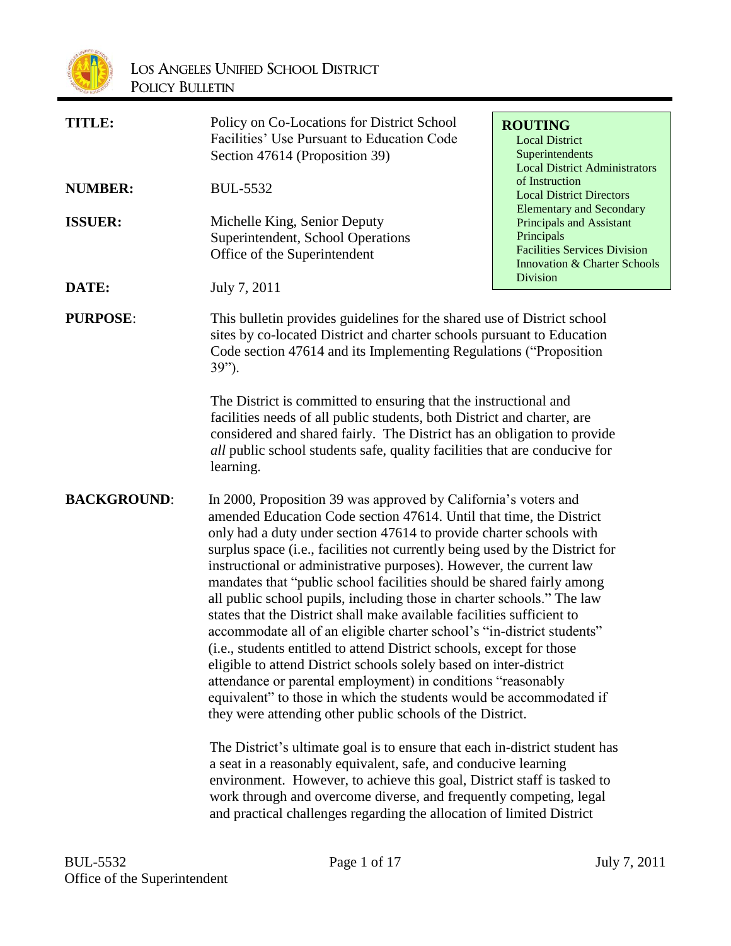

| <b>TITLE:</b>      | Policy on Co-Locations for District School<br>Facilities' Use Pursuant to Education Code<br>Section 47614 (Proposition 39)                                                                                                                                                                                                                                                                                                                                                                                                                                                                                                                                                                                                                                                                                                                                                                                                                                                                                                                                                                                                                                                                                                                                                                                                                                                                                 | <b>ROUTING</b><br><b>Local District</b><br>Superintendents<br><b>Local District Administrators</b><br>of Instruction<br><b>Local District Directors</b><br><b>Elementary and Secondary</b><br>Principals and Assistant<br>Principals<br><b>Facilities Services Division</b><br><b>Innovation &amp; Charter Schools</b><br><b>Division</b> |  |
|--------------------|------------------------------------------------------------------------------------------------------------------------------------------------------------------------------------------------------------------------------------------------------------------------------------------------------------------------------------------------------------------------------------------------------------------------------------------------------------------------------------------------------------------------------------------------------------------------------------------------------------------------------------------------------------------------------------------------------------------------------------------------------------------------------------------------------------------------------------------------------------------------------------------------------------------------------------------------------------------------------------------------------------------------------------------------------------------------------------------------------------------------------------------------------------------------------------------------------------------------------------------------------------------------------------------------------------------------------------------------------------------------------------------------------------|-------------------------------------------------------------------------------------------------------------------------------------------------------------------------------------------------------------------------------------------------------------------------------------------------------------------------------------------|--|
| <b>NUMBER:</b>     | <b>BUL-5532</b>                                                                                                                                                                                                                                                                                                                                                                                                                                                                                                                                                                                                                                                                                                                                                                                                                                                                                                                                                                                                                                                                                                                                                                                                                                                                                                                                                                                            |                                                                                                                                                                                                                                                                                                                                           |  |
| <b>ISSUER:</b>     | Michelle King, Senior Deputy<br>Superintendent, School Operations<br>Office of the Superintendent                                                                                                                                                                                                                                                                                                                                                                                                                                                                                                                                                                                                                                                                                                                                                                                                                                                                                                                                                                                                                                                                                                                                                                                                                                                                                                          |                                                                                                                                                                                                                                                                                                                                           |  |
| DATE:              | July 7, 2011                                                                                                                                                                                                                                                                                                                                                                                                                                                                                                                                                                                                                                                                                                                                                                                                                                                                                                                                                                                                                                                                                                                                                                                                                                                                                                                                                                                               |                                                                                                                                                                                                                                                                                                                                           |  |
| <b>PURPOSE:</b>    | This bulletin provides guidelines for the shared use of District school<br>sites by co-located District and charter schools pursuant to Education<br>Code section 47614 and its Implementing Regulations ("Proposition<br>$39"$ ).                                                                                                                                                                                                                                                                                                                                                                                                                                                                                                                                                                                                                                                                                                                                                                                                                                                                                                                                                                                                                                                                                                                                                                         |                                                                                                                                                                                                                                                                                                                                           |  |
|                    | The District is committed to ensuring that the instructional and<br>facilities needs of all public students, both District and charter, are<br>considered and shared fairly. The District has an obligation to provide<br><i>all</i> public school students safe, quality facilities that are conducive for<br>learning.                                                                                                                                                                                                                                                                                                                                                                                                                                                                                                                                                                                                                                                                                                                                                                                                                                                                                                                                                                                                                                                                                   |                                                                                                                                                                                                                                                                                                                                           |  |
| <b>BACKGROUND:</b> | In 2000, Proposition 39 was approved by California's voters and<br>amended Education Code section 47614. Until that time, the District<br>only had a duty under section 47614 to provide charter schools with<br>surplus space (i.e., facilities not currently being used by the District for<br>instructional or administrative purposes). However, the current law<br>mandates that "public school facilities should be shared fairly among<br>all public school pupils, including those in charter schools." The law<br>states that the District shall make available facilities sufficient to<br>accommodate all of an eligible charter school's "in-district students"<br>(i.e., students entitled to attend District schools, except for those<br>eligible to attend District schools solely based on inter-district<br>attendance or parental employment) in conditions "reasonably<br>equivalent" to those in which the students would be accommodated if<br>they were attending other public schools of the District.<br>The District's ultimate goal is to ensure that each in-district student has<br>a seat in a reasonably equivalent, safe, and conducive learning<br>environment. However, to achieve this goal, District staff is tasked to<br>work through and overcome diverse, and frequently competing, legal<br>and practical challenges regarding the allocation of limited District |                                                                                                                                                                                                                                                                                                                                           |  |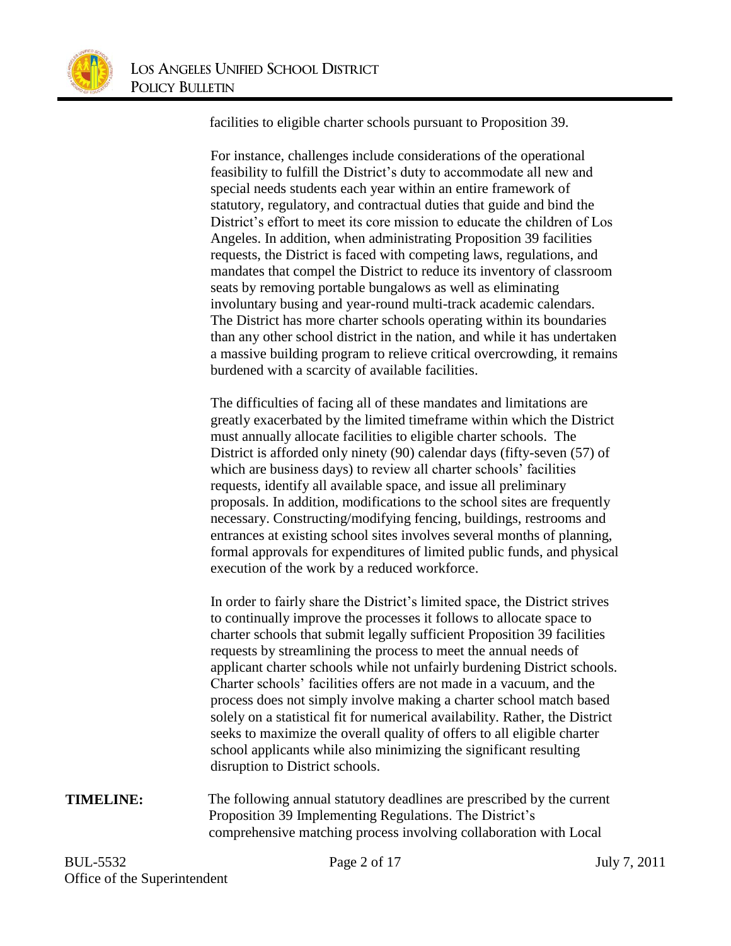

facilities to eligible charter schools pursuant to Proposition 39.

For instance, challenges include considerations of the operational feasibility to fulfill the District's duty to accommodate all new and special needs students each year within an entire framework of statutory, regulatory, and contractual duties that guide and bind the District's effort to meet its core mission to educate the children of Los Angeles. In addition, when administrating Proposition 39 facilities requests, the District is faced with competing laws, regulations, and mandates that compel the District to reduce its inventory of classroom seats by removing portable bungalows as well as eliminating involuntary busing and year-round multi-track academic calendars. The District has more charter schools operating within its boundaries than any other school district in the nation, and while it has undertaken a massive building program to relieve critical overcrowding, it remains burdened with a scarcity of available facilities.

The difficulties of facing all of these mandates and limitations are greatly exacerbated by the limited timeframe within which the District must annually allocate facilities to eligible charter schools. The District is afforded only ninety (90) calendar days (fifty-seven (57) of which are business days) to review all charter schools' facilities requests, identify all available space, and issue all preliminary proposals. In addition, modifications to the school sites are frequently necessary. Constructing/modifying fencing, buildings, restrooms and entrances at existing school sites involves several months of planning, formal approvals for expenditures of limited public funds, and physical execution of the work by a reduced workforce.

In order to fairly share the District's limited space, the District strives to continually improve the processes it follows to allocate space to charter schools that submit legally sufficient Proposition 39 facilities requests by streamlining the process to meet the annual needs of applicant charter schools while not unfairly burdening District schools. Charter schools' facilities offers are not made in a vacuum, and the process does not simply involve making a charter school match based solely on a statistical fit for numerical availability. Rather, the District seeks to maximize the overall quality of offers to all eligible charter school applicants while also minimizing the significant resulting disruption to District schools.

**TIMELINE:** The following annual statutory deadlines are prescribed by the current Proposition 39 Implementing Regulations. The District's comprehensive matching process involving collaboration with Local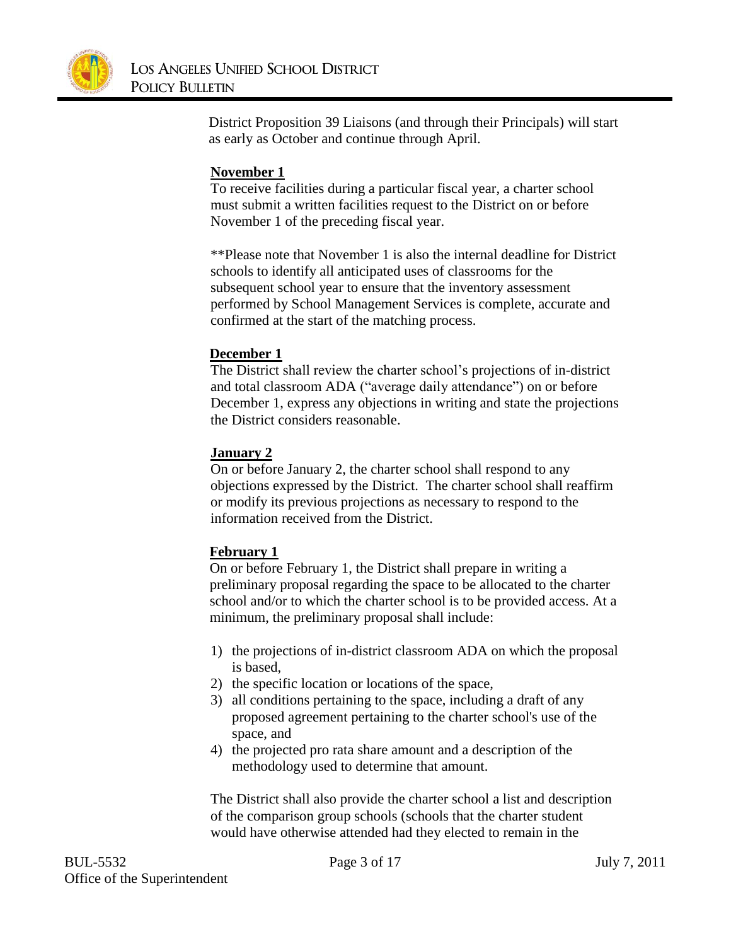

District Proposition 39 Liaisons (and through their Principals) will start as early as October and continue through April.

# **November 1**

To receive facilities during a particular fiscal year, a charter school must submit a written facilities request to the District on or before November 1 of the preceding fiscal year.

\*\*Please note that November 1 is also the internal deadline for District schools to identify all anticipated uses of classrooms for the subsequent school year to ensure that the inventory assessment performed by School Management Services is complete, accurate and confirmed at the start of the matching process.

### **December 1**

The District shall review the charter school's projections of in-district and total classroom ADA ("average daily attendance") on or before December 1, express any objections in writing and state the projections the District considers reasonable.

# **January 2**

On or before January 2, the charter school shall respond to any objections expressed by the District. The charter school shall reaffirm or modify its previous projections as necessary to respond to the information received from the District.

### **February 1**

On or before February 1, the District shall prepare in writing a preliminary proposal regarding the space to be allocated to the charter school and/or to which the charter school is to be provided access. At a minimum, the preliminary proposal shall include:

- 1) the projections of in-district classroom ADA on which the proposal is based,
- 2) the specific location or locations of the space,
- 3) all conditions pertaining to the space, including a draft of any proposed agreement pertaining to the charter school's use of the space, and
- 4) the projected pro rata share amount and a description of the methodology used to determine that amount.

The District shall also provide the charter school a list and description of the comparison group schools (schools that the charter student would have otherwise attended had they elected to remain in the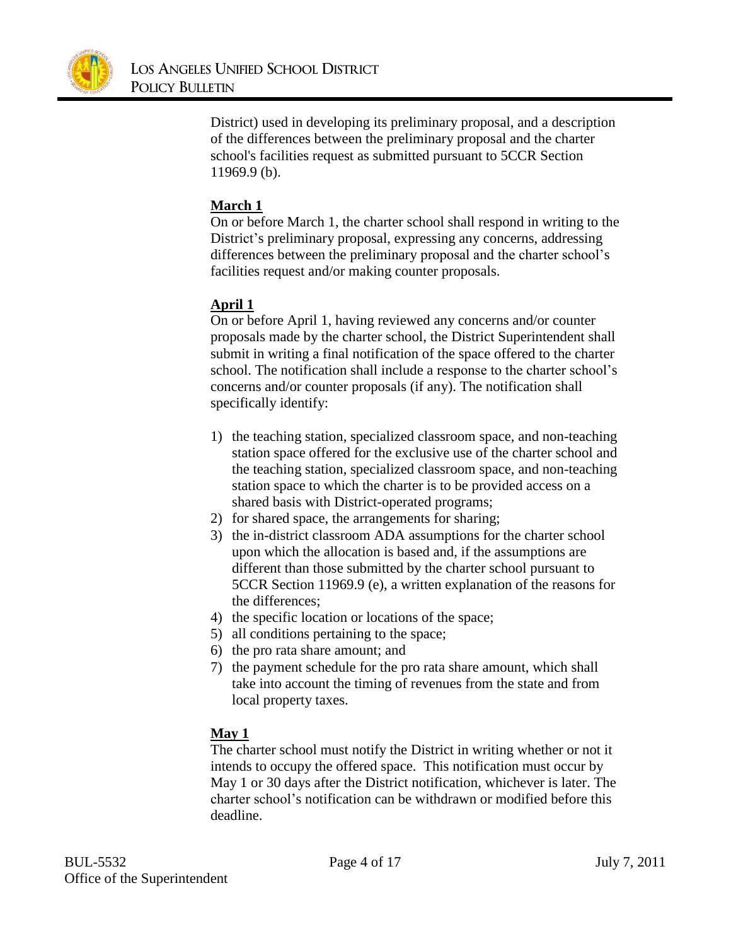

District) used in developing its preliminary proposal, and a description of the differences between the preliminary proposal and the charter school's facilities request as submitted pursuant to 5CCR Section 11969.9 (b).

# **March 1**

On or before March 1, the charter school shall respond in writing to the District's preliminary proposal, expressing any concerns, addressing differences between the preliminary proposal and the charter school's facilities request and/or making counter proposals.

# **April 1**

On or before April 1, having reviewed any concerns and/or counter proposals made by the charter school, the District Superintendent shall submit in writing a final notification of the space offered to the charter school. The notification shall include a response to the charter school's concerns and/or counter proposals (if any). The notification shall specifically identify:

- 1) the teaching station, specialized classroom space, and non-teaching station space offered for the exclusive use of the charter school and the teaching station, specialized classroom space, and non-teaching station space to which the charter is to be provided access on a shared basis with District-operated programs;
- 2) for shared space, the arrangements for sharing;
- 3) the in-district classroom ADA assumptions for the charter school upon which the allocation is based and, if the assumptions are different than those submitted by the charter school pursuant to 5CCR Section 11969.9 (e), a written explanation of the reasons for the differences;
- 4) the specific location or locations of the space;
- 5) all conditions pertaining to the space;
- 6) the pro rata share amount; and
- 7) the payment schedule for the pro rata share amount, which shall take into account the timing of revenues from the state and from local property taxes.

# **May 1**

The charter school must notify the District in writing whether or not it intends to occupy the offered space. This notification must occur by May 1 or 30 days after the District notification, whichever is later. The charter school's notification can be withdrawn or modified before this deadline.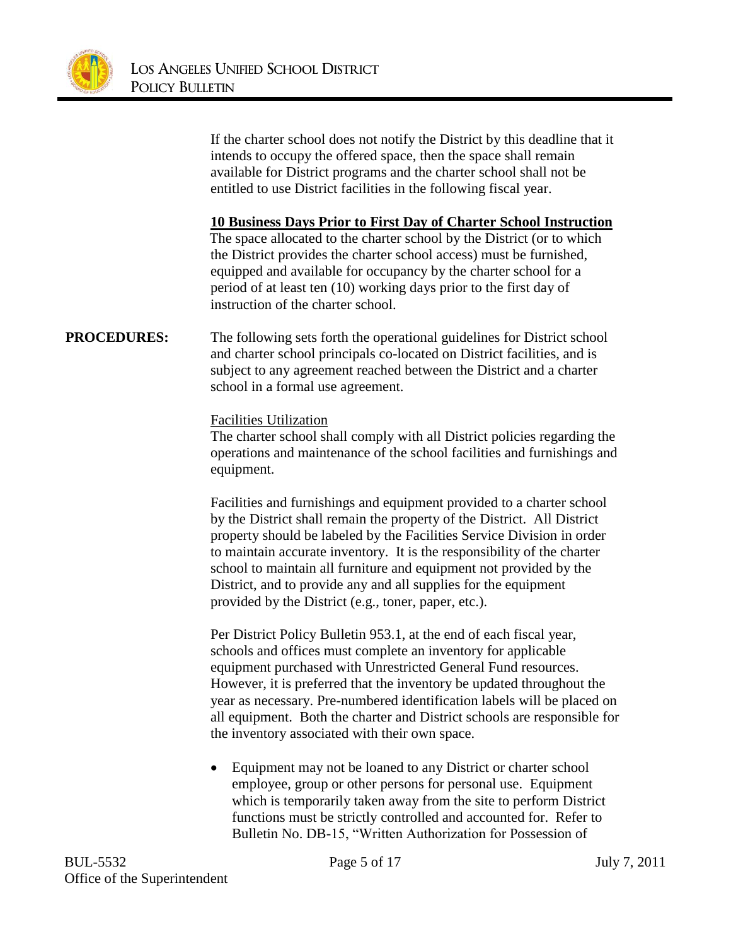

If the charter school does not notify the District by this deadline that it intends to occupy the offered space, then the space shall remain available for District programs and the charter school shall not be entitled to use District facilities in the following fiscal year.

**10 Business Days Prior to First Day of Charter School Instruction**

The space allocated to the charter school by the District (or to which the District provides the charter school access) must be furnished, equipped and available for occupancy by the charter school for a period of at least ten (10) working days prior to the first day of instruction of the charter school.

# **PROCEDURES:** The following sets forth the operational guidelines for District school and charter school principals co-located on District facilities, and is subject to any agreement reached between the District and a charter school in a formal use agreement.

Facilities Utilization

The charter school shall comply with all District policies regarding the operations and maintenance of the school facilities and furnishings and equipment.

Facilities and furnishings and equipment provided to a charter school by the District shall remain the property of the District. All District property should be labeled by the Facilities Service Division in order to maintain accurate inventory. It is the responsibility of the charter school to maintain all furniture and equipment not provided by the District, and to provide any and all supplies for the equipment provided by the District (e.g., toner, paper, etc.).

Per District Policy Bulletin 953.1, at the end of each fiscal year, schools and offices must complete an inventory for applicable equipment purchased with Unrestricted General Fund resources. However, it is preferred that the inventory be updated throughout the year as necessary. Pre-numbered identification labels will be placed on all equipment. Both the charter and District schools are responsible for the inventory associated with their own space.

• Equipment may not be loaned to any District or charter school employee, group or other persons for personal use. Equipment which is temporarily taken away from the site to perform District functions must be strictly controlled and accounted for. Refer to Bulletin No. DB-15, "Written Authorization for Possession of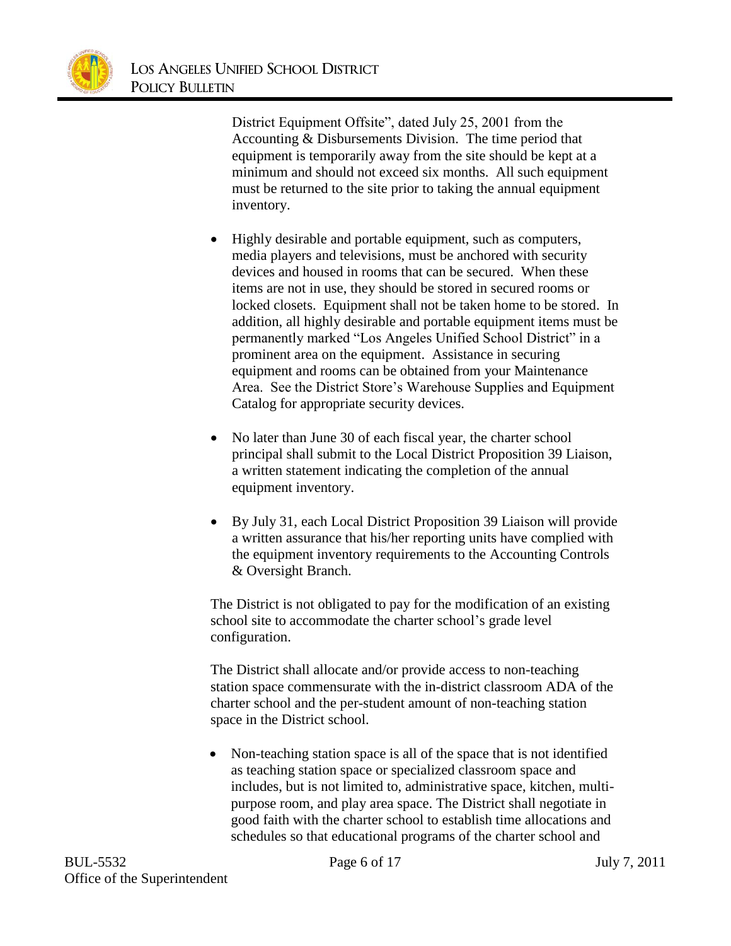

District Equipment Offsite", dated July 25, 2001 from the Accounting & Disbursements Division. The time period that equipment is temporarily away from the site should be kept at a minimum and should not exceed six months. All such equipment must be returned to the site prior to taking the annual equipment inventory.

- Highly desirable and portable equipment, such as computers, media players and televisions, must be anchored with security devices and housed in rooms that can be secured. When these items are not in use, they should be stored in secured rooms or locked closets. Equipment shall not be taken home to be stored. In addition, all highly desirable and portable equipment items must be permanently marked "Los Angeles Unified School District" in a prominent area on the equipment. Assistance in securing equipment and rooms can be obtained from your Maintenance Area. See the District Store's Warehouse Supplies and Equipment Catalog for appropriate security devices.
- No later than June 30 of each fiscal year, the charter school principal shall submit to the Local District Proposition 39 Liaison, a written statement indicating the completion of the annual equipment inventory.
- By July 31, each Local District Proposition 39 Liaison will provide a written assurance that his/her reporting units have complied with the equipment inventory requirements to the Accounting Controls & Oversight Branch.

The District is not obligated to pay for the modification of an existing school site to accommodate the charter school's grade level configuration.

The District shall allocate and/or provide access to non-teaching station space commensurate with the in-district classroom ADA of the charter school and the per-student amount of non-teaching station space in the District school.

• Non-teaching station space is all of the space that is not identified as teaching station space or specialized classroom space and includes, but is not limited to, administrative space, kitchen, multipurpose room, and play area space. The District shall negotiate in good faith with the charter school to establish time allocations and schedules so that educational programs of the charter school and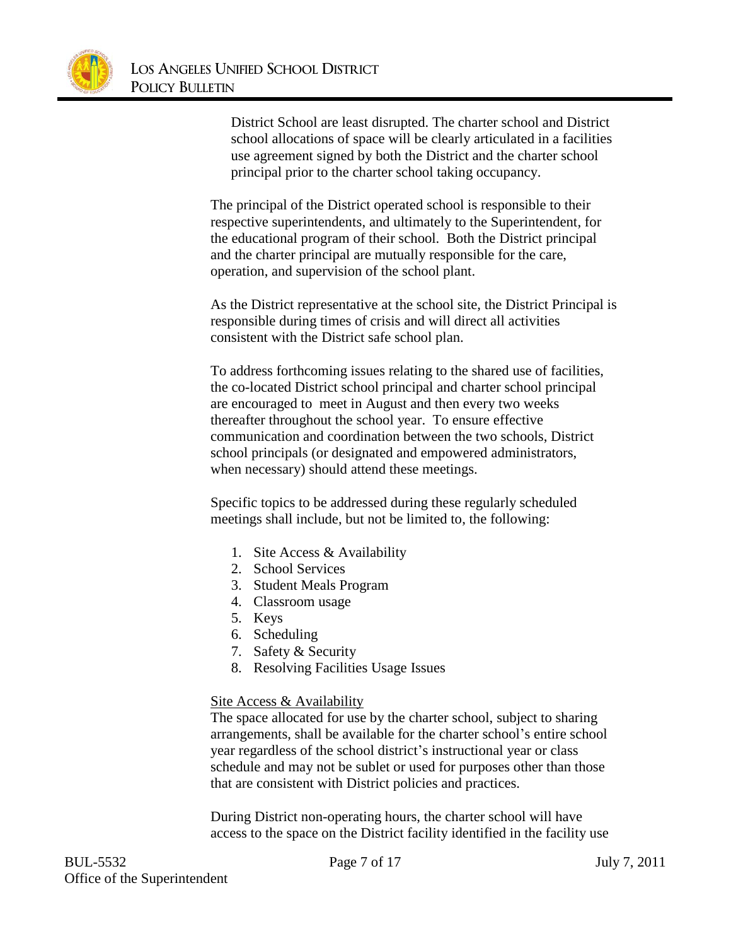

District School are least disrupted. The charter school and District school allocations of space will be clearly articulated in a facilities use agreement signed by both the District and the charter school principal prior to the charter school taking occupancy.

The principal of the District operated school is responsible to their respective superintendents, and ultimately to the Superintendent, for the educational program of their school. Both the District principal and the charter principal are mutually responsible for the care, operation, and supervision of the school plant.

As the District representative at the school site, the District Principal is responsible during times of crisis and will direct all activities consistent with the District safe school plan.

To address forthcoming issues relating to the shared use of facilities, the co-located District school principal and charter school principal are encouraged to meet in August and then every two weeks thereafter throughout the school year. To ensure effective communication and coordination between the two schools, District school principals (or designated and empowered administrators, when necessary) should attend these meetings.

Specific topics to be addressed during these regularly scheduled meetings shall include, but not be limited to, the following:

- 1. Site Access & Availability
- 2. School Services
- 3. Student Meals Program
- 4. Classroom usage
- 5. Keys
- 6. Scheduling
- 7. Safety & Security
- 8. Resolving Facilities Usage Issues

#### Site Access & Availability

The space allocated for use by the charter school, subject to sharing arrangements, shall be available for the charter school's entire school year regardless of the school district's instructional year or class schedule and may not be sublet or used for purposes other than those that are consistent with District policies and practices.

During District non-operating hours, the charter school will have access to the space on the District facility identified in the facility use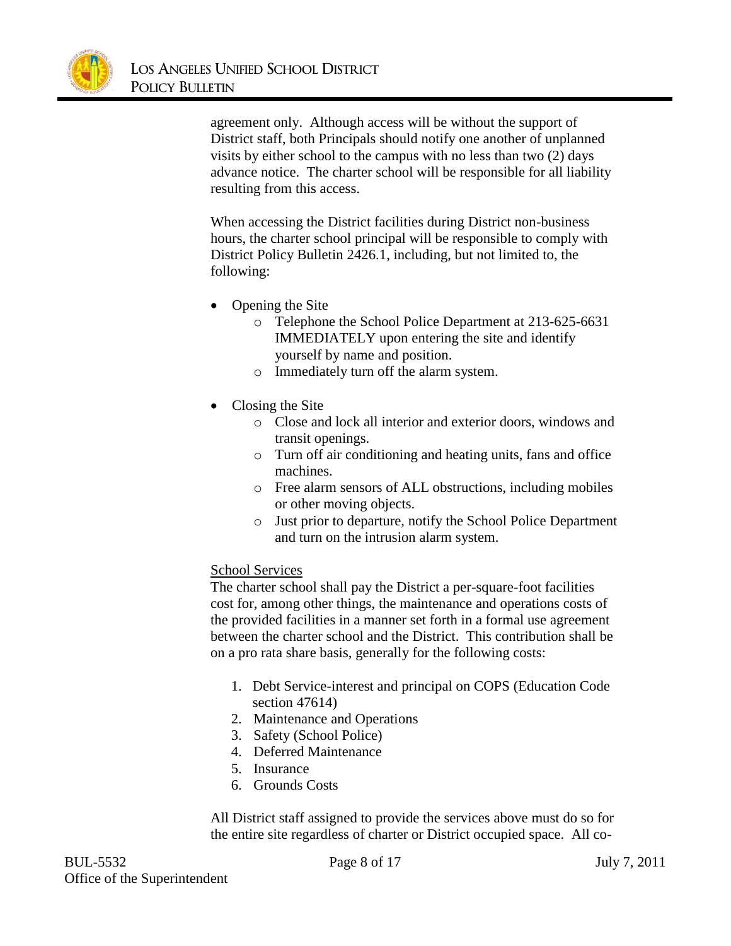

agreement only. Although access will be without the support of District staff, both Principals should notify one another of unplanned visits by either school to the campus with no less than two (2) days advance notice. The charter school will be responsible for all liability resulting from this access.

When accessing the District facilities during District non-business hours, the charter school principal will be responsible to comply with District Policy Bulletin 2426.1, including, but not limited to, the following:

- Opening the Site
	- o Telephone the School Police Department at 213-625-6631 IMMEDIATELY upon entering the site and identify yourself by name and position.
	- o Immediately turn off the alarm system.
- Closing the Site
	- o Close and lock all interior and exterior doors, windows and transit openings.
	- o Turn off air conditioning and heating units, fans and office machines.
	- o Free alarm sensors of ALL obstructions, including mobiles or other moving objects.
	- o Just prior to departure, notify the School Police Department and turn on the intrusion alarm system.

### School Services

The charter school shall pay the District a per-square-foot facilities cost for, among other things, the maintenance and operations costs of the provided facilities in a manner set forth in a formal use agreement between the charter school and the District. This contribution shall be on a pro rata share basis, generally for the following costs:

- 1. Debt Service-interest and principal on COPS (Education Code section 47614)
- 2. Maintenance and Operations
- 3. Safety (School Police)
- 4. Deferred Maintenance
- 5. Insurance
- 6. Grounds Costs

All District staff assigned to provide the services above must do so for the entire site regardless of charter or District occupied space. All co-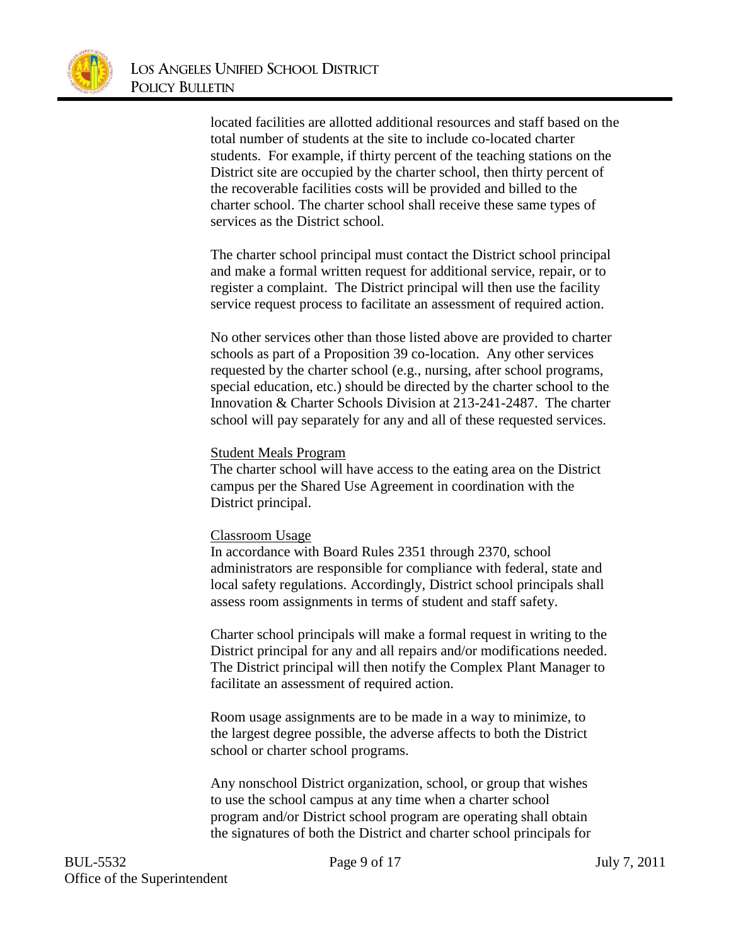

located facilities are allotted additional resources and staff based on the total number of students at the site to include co-located charter students. For example, if thirty percent of the teaching stations on the District site are occupied by the charter school, then thirty percent of the recoverable facilities costs will be provided and billed to the charter school. The charter school shall receive these same types of services as the District school.

The charter school principal must contact the District school principal and make a formal written request for additional service, repair, or to register a complaint. The District principal will then use the facility service request process to facilitate an assessment of required action.

No other services other than those listed above are provided to charter schools as part of a Proposition 39 co-location. Any other services requested by the charter school (e.g., nursing, after school programs, special education, etc.) should be directed by the charter school to the Innovation & Charter Schools Division at 213-241-2487. The charter school will pay separately for any and all of these requested services.

#### Student Meals Program

The charter school will have access to the eating area on the District campus per the Shared Use Agreement in coordination with the District principal.

#### Classroom Usage

In accordance with Board Rules 2351 through 2370, school administrators are responsible for compliance with federal, state and local safety regulations. Accordingly, District school principals shall assess room assignments in terms of student and staff safety.

Charter school principals will make a formal request in writing to the District principal for any and all repairs and/or modifications needed. The District principal will then notify the Complex Plant Manager to facilitate an assessment of required action.

Room usage assignments are to be made in a way to minimize, to the largest degree possible, the adverse affects to both the District school or charter school programs.

Any nonschool District organization, school, or group that wishes to use the school campus at any time when a charter school program and/or District school program are operating shall obtain the signatures of both the District and charter school principals for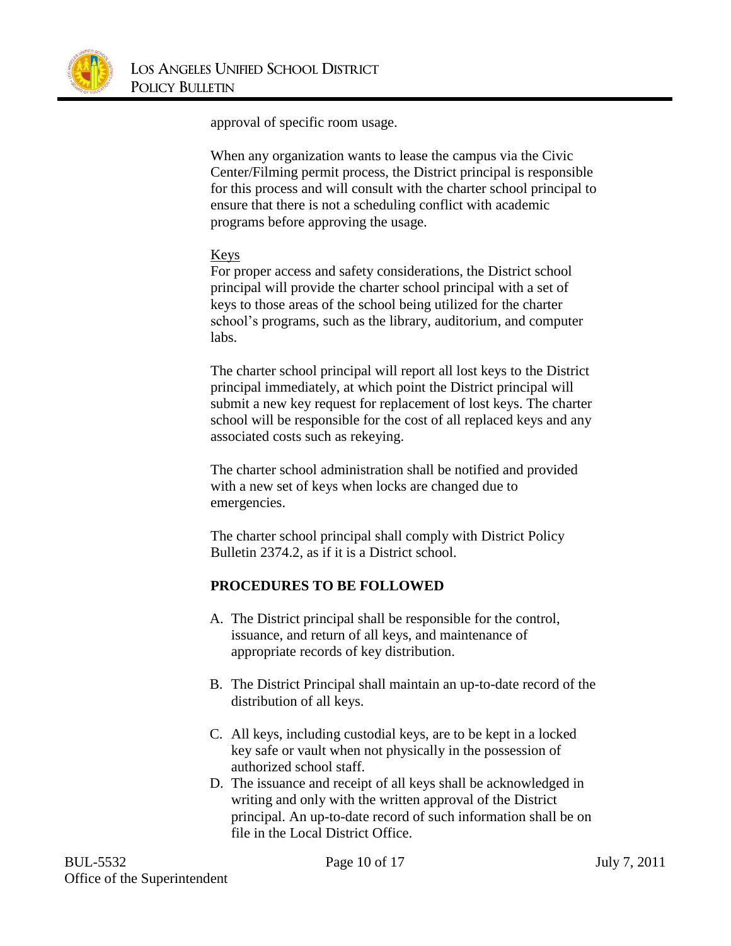

approval of specific room usage.

When any organization wants to lease the campus via the Civic Center/Filming permit process, the District principal is responsible for this process and will consult with the charter school principal to ensure that there is not a scheduling conflict with academic programs before approving the usage.

### Keys

For proper access and safety considerations, the District school principal will provide the charter school principal with a set of keys to those areas of the school being utilized for the charter school's programs, such as the library, auditorium, and computer labs.

The charter school principal will report all lost keys to the District principal immediately, at which point the District principal will submit a new key request for replacement of lost keys. The charter school will be responsible for the cost of all replaced keys and any associated costs such as rekeying.

The charter school administration shall be notified and provided with a new set of keys when locks are changed due to emergencies.

The charter school principal shall comply with District Policy Bulletin 2374.2, as if it is a District school.

# **PROCEDURES TO BE FOLLOWED**

- A. The District principal shall be responsible for the control, issuance, and return of all keys, and maintenance of appropriate records of key distribution.
- B. The District Principal shall maintain an up-to-date record of the distribution of all keys.
- C. All keys, including custodial keys, are to be kept in a locked key safe or vault when not physically in the possession of authorized school staff.
- D. The issuance and receipt of all keys shall be acknowledged in writing and only with the written approval of the District principal. An up-to-date record of such information shall be on file in the Local District Office.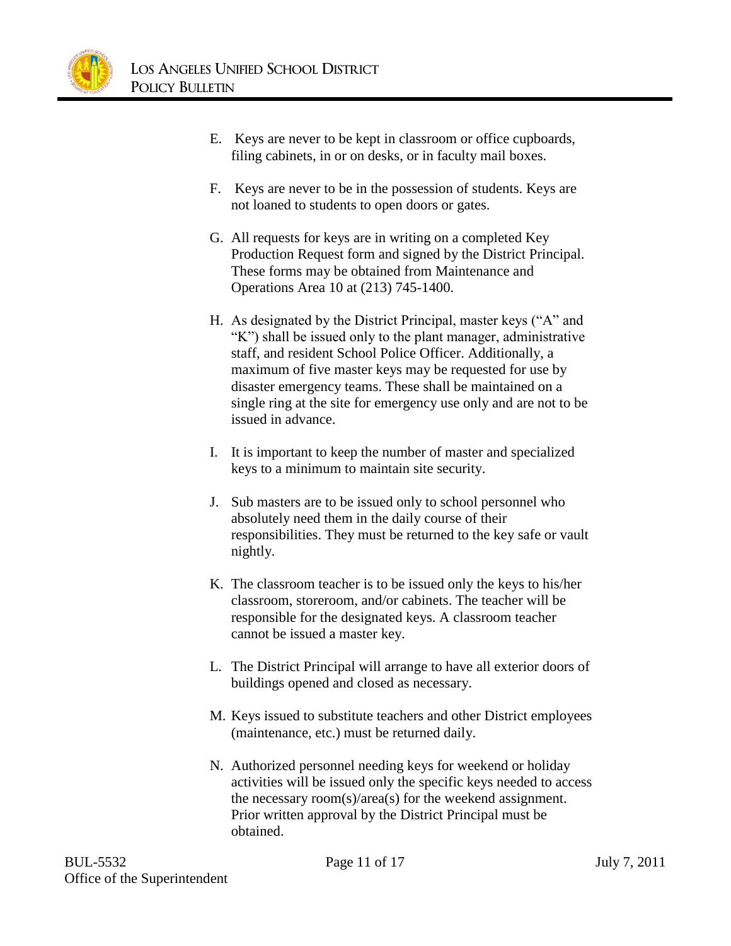

- E. Keys are never to be kept in classroom or office cupboards, filing cabinets, in or on desks, or in faculty mail boxes.
- F. Keys are never to be in the possession of students. Keys are not loaned to students to open doors or gates.
- G. All requests for keys are in writing on a completed Key Production Request form and signed by the District Principal. These forms may be obtained from Maintenance and Operations Area 10 at (213) 745-1400.
- H. As designated by the District Principal, master keys ("A" and "K") shall be issued only to the plant manager, administrative staff, and resident School Police Officer. Additionally, a maximum of five master keys may be requested for use by disaster emergency teams. These shall be maintained on a single ring at the site for emergency use only and are not to be issued in advance.
- I. It is important to keep the number of master and specialized keys to a minimum to maintain site security.
- J. Sub masters are to be issued only to school personnel who absolutely need them in the daily course of their responsibilities. They must be returned to the key safe or vault nightly.
- K. The classroom teacher is to be issued only the keys to his/her classroom, storeroom, and/or cabinets. The teacher will be responsible for the designated keys. A classroom teacher cannot be issued a master key.
- L. The District Principal will arrange to have all exterior doors of buildings opened and closed as necessary.
- M. Keys issued to substitute teachers and other District employees (maintenance, etc.) must be returned daily.
- N. Authorized personnel needing keys for weekend or holiday activities will be issued only the specific keys needed to access the necessary room(s)/area(s) for the weekend assignment. Prior written approval by the District Principal must be obtained.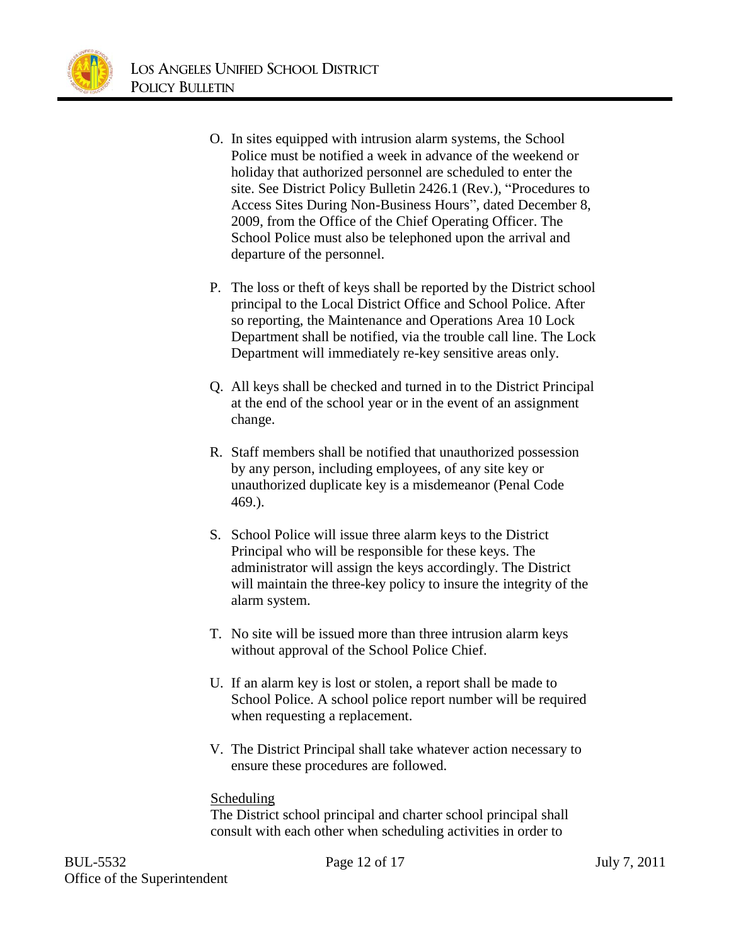

- O. In sites equipped with intrusion alarm systems, the School Police must be notified a week in advance of the weekend or holiday that authorized personnel are scheduled to enter the site. See District Policy Bulletin 2426.1 (Rev.), "Procedures to Access Sites During Non-Business Hours", dated December 8, 2009, from the Office of the Chief Operating Officer. The School Police must also be telephoned upon the arrival and departure of the personnel.
- P. The loss or theft of keys shall be reported by the District school principal to the Local District Office and School Police. After so reporting, the Maintenance and Operations Area 10 Lock Department shall be notified, via the trouble call line. The Lock Department will immediately re-key sensitive areas only.
- Q. All keys shall be checked and turned in to the District Principal at the end of the school year or in the event of an assignment change.
- R. Staff members shall be notified that unauthorized possession by any person, including employees, of any site key or unauthorized duplicate key is a misdemeanor (Penal Code 469.).
- S. School Police will issue three alarm keys to the District Principal who will be responsible for these keys. The administrator will assign the keys accordingly. The District will maintain the three-key policy to insure the integrity of the alarm system.
- T. No site will be issued more than three intrusion alarm keys without approval of the School Police Chief.
- U. If an alarm key is lost or stolen, a report shall be made to School Police. A school police report number will be required when requesting a replacement.
- V. The District Principal shall take whatever action necessary to ensure these procedures are followed.

### Scheduling

The District school principal and charter school principal shall consult with each other when scheduling activities in order to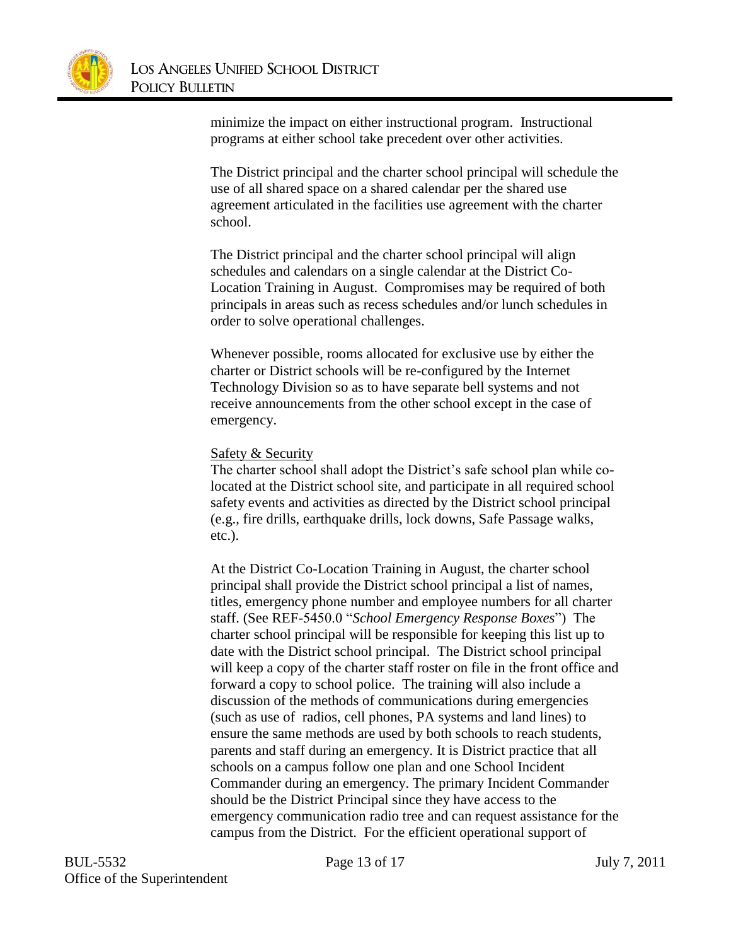

minimize the impact on either instructional program. Instructional programs at either school take precedent over other activities.

The District principal and the charter school principal will schedule the use of all shared space on a shared calendar per the shared use agreement articulated in the facilities use agreement with the charter school.

The District principal and the charter school principal will align schedules and calendars on a single calendar at the District Co-Location Training in August. Compromises may be required of both principals in areas such as recess schedules and/or lunch schedules in order to solve operational challenges.

Whenever possible, rooms allocated for exclusive use by either the charter or District schools will be re-configured by the Internet Technology Division so as to have separate bell systems and not receive announcements from the other school except in the case of emergency.

#### Safety & Security

The charter school shall adopt the District's safe school plan while colocated at the District school site, and participate in all required school safety events and activities as directed by the District school principal (e.g., fire drills, earthquake drills, lock downs, Safe Passage walks, etc.).

At the District Co-Location Training in August, the charter school principal shall provide the District school principal a list of names, titles, emergency phone number and employee numbers for all charter staff. (See REF-5450.0 "*School Emergency Response Boxes*") The charter school principal will be responsible for keeping this list up to date with the District school principal. The District school principal will keep a copy of the charter staff roster on file in the front office and forward a copy to school police. The training will also include a discussion of the methods of communications during emergencies (such as use of radios, cell phones, PA systems and land lines) to ensure the same methods are used by both schools to reach students, parents and staff during an emergency. It is District practice that all schools on a campus follow one plan and one School Incident Commander during an emergency. The primary Incident Commander should be the District Principal since they have access to the emergency communication radio tree and can request assistance for the campus from the District. For the efficient operational support of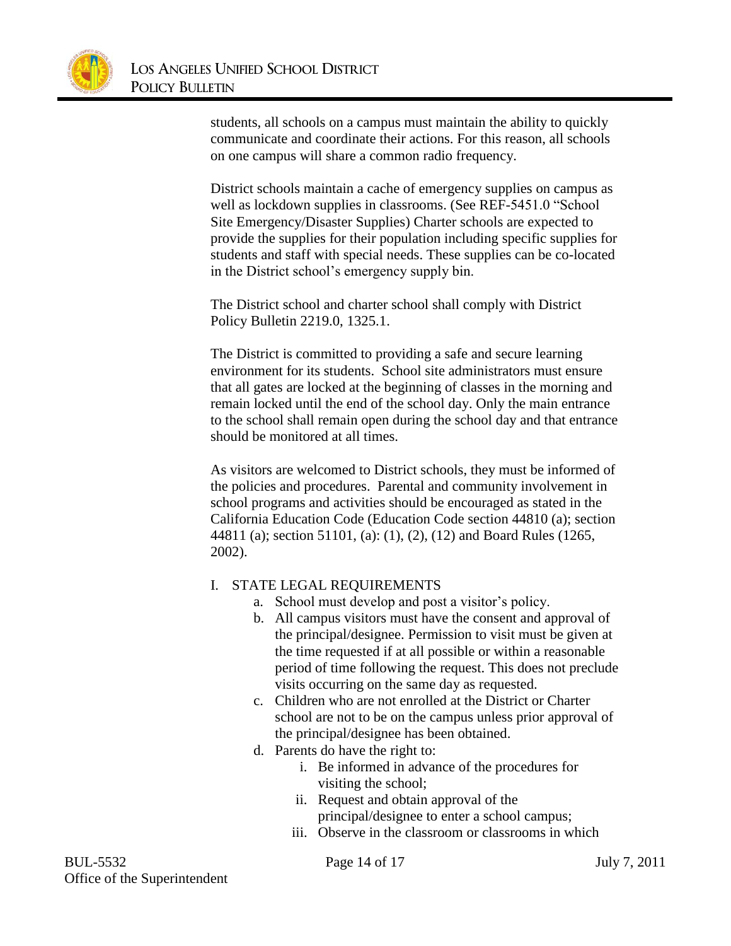

students, all schools on a campus must maintain the ability to quickly communicate and coordinate their actions. For this reason, all schools on one campus will share a common radio frequency.

District schools maintain a cache of emergency supplies on campus as well as lockdown supplies in classrooms. (See REF-5451.0 "School Site Emergency/Disaster Supplies) Charter schools are expected to provide the supplies for their population including specific supplies for students and staff with special needs. These supplies can be co-located in the District school's emergency supply bin.

The District school and charter school shall comply with District Policy Bulletin 2219.0, 1325.1.

The District is committed to providing a safe and secure learning environment for its students. School site administrators must ensure that all gates are locked at the beginning of classes in the morning and remain locked until the end of the school day. Only the main entrance to the school shall remain open during the school day and that entrance should be monitored at all times.

As visitors are welcomed to District schools, they must be informed of the policies and procedures. Parental and community involvement in school programs and activities should be encouraged as stated in the California Education Code (Education Code section 44810 (a); section 44811 (a); section 51101, (a): (1), (2), (12) and Board Rules (1265, 2002).

### I. STATE LEGAL REQUIREMENTS

- a. School must develop and post a visitor's policy.
- b. All campus visitors must have the consent and approval of the principal/designee. Permission to visit must be given at the time requested if at all possible or within a reasonable period of time following the request. This does not preclude visits occurring on the same day as requested.
- c. Children who are not enrolled at the District or Charter school are not to be on the campus unless prior approval of the principal/designee has been obtained.
- d. Parents do have the right to:
	- i. Be informed in advance of the procedures for visiting the school;
	- ii. Request and obtain approval of the principal/designee to enter a school campus;
	- iii. Observe in the classroom or classrooms in which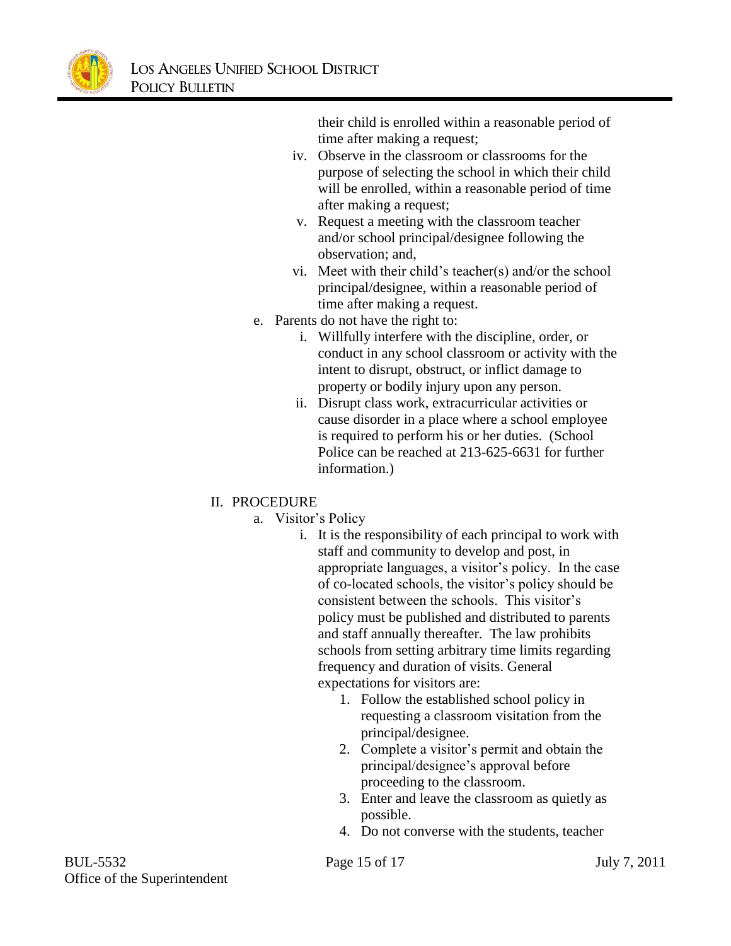

their child is enrolled within a reasonable period of time after making a request;

- iv. Observe in the classroom or classrooms for the purpose of selecting the school in which their child will be enrolled, within a reasonable period of time after making a request;
- v. Request a meeting with the classroom teacher and/or school principal/designee following the observation; and,
- vi. Meet with their child's teacher(s) and/or the school principal/designee, within a reasonable period of time after making a request.
- e. Parents do not have the right to:
	- i. Willfully interfere with the discipline, order, or conduct in any school classroom or activity with the intent to disrupt, obstruct, or inflict damage to property or bodily injury upon any person.
	- ii. Disrupt class work, extracurricular activities or cause disorder in a place where a school employee is required to perform his or her duties. (School Police can be reached at 213-625-6631 for further information.)

# II. PROCEDURE

- a. Visitor's Policy
	- i. It is the responsibility of each principal to work with staff and community to develop and post, in appropriate languages, a visitor's policy. In the case of co-located schools, the visitor's policy should be consistent between the schools. This visitor's policy must be published and distributed to parents and staff annually thereafter. The law prohibits schools from setting arbitrary time limits regarding frequency and duration of visits. General expectations for visitors are:
		- 1. Follow the established school policy in requesting a classroom visitation from the principal/designee.
		- 2. Complete a visitor's permit and obtain the principal/designee's approval before proceeding to the classroom.
		- 3. Enter and leave the classroom as quietly as possible.
		- 4. Do not converse with the students, teacher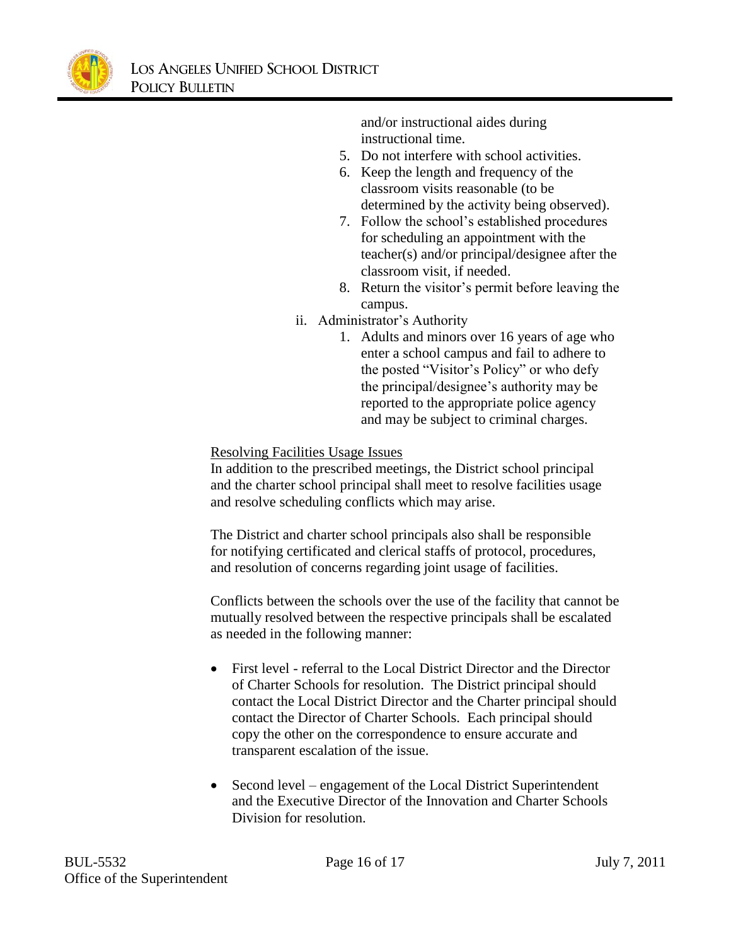

and/or instructional aides during instructional time.

- 5. Do not interfere with school activities.
- 6. Keep the length and frequency of the classroom visits reasonable (to be determined by the activity being observed).
- 7. Follow the school's established procedures for scheduling an appointment with the teacher(s) and/or principal/designee after the classroom visit, if needed.
- 8. Return the visitor's permit before leaving the campus.
- ii. Administrator's Authority
	- 1. Adults and minors over 16 years of age who enter a school campus and fail to adhere to the posted "Visitor's Policy" or who defy the principal/designee's authority may be reported to the appropriate police agency and may be subject to criminal charges.

Resolving Facilities Usage Issues

In addition to the prescribed meetings, the District school principal and the charter school principal shall meet to resolve facilities usage and resolve scheduling conflicts which may arise.

The District and charter school principals also shall be responsible for notifying certificated and clerical staffs of protocol, procedures, and resolution of concerns regarding joint usage of facilities.

Conflicts between the schools over the use of the facility that cannot be mutually resolved between the respective principals shall be escalated as needed in the following manner:

- First level referral to the Local District Director and the Director of Charter Schools for resolution. The District principal should contact the Local District Director and the Charter principal should contact the Director of Charter Schools. Each principal should copy the other on the correspondence to ensure accurate and transparent escalation of the issue.
- Second level engagement of the Local District Superintendent and the Executive Director of the Innovation and Charter Schools Division for resolution.